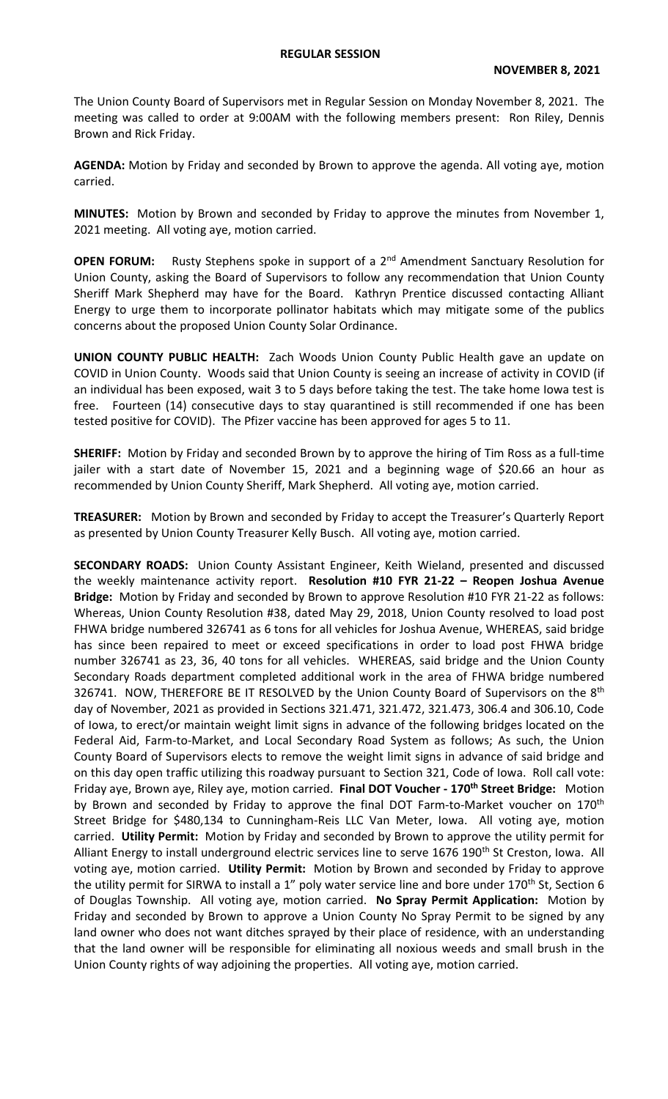The Union County Board of Supervisors met in Regular Session on Monday November 8, 2021. The meeting was called to order at 9:00AM with the following members present: Ron Riley, Dennis Brown and Rick Friday.

**AGENDA:** Motion by Friday and seconded by Brown to approve the agenda. All voting aye, motion carried.

**MINUTES:** Motion by Brown and seconded by Friday to approve the minutes from November 1, 2021 meeting. All voting aye, motion carried.

**OPEN FORUM:** Rusty Stephens spoke in support of a 2<sup>nd</sup> Amendment Sanctuary Resolution for Union County, asking the Board of Supervisors to follow any recommendation that Union County Sheriff Mark Shepherd may have for the Board. Kathryn Prentice discussed contacting Alliant Energy to urge them to incorporate pollinator habitats which may mitigate some of the publics concerns about the proposed Union County Solar Ordinance.

**UNION COUNTY PUBLIC HEALTH:** Zach Woods Union County Public Health gave an update on COVID in Union County. Woods said that Union County is seeing an increase of activity in COVID (if an individual has been exposed, wait 3 to 5 days before taking the test. The take home Iowa test is free. Fourteen (14) consecutive days to stay quarantined is still recommended if one has been tested positive for COVID). The Pfizer vaccine has been approved for ages 5 to 11.

**SHERIFF:** Motion by Friday and seconded Brown by to approve the hiring of Tim Ross as a full-time jailer with a start date of November 15, 2021 and a beginning wage of \$20.66 an hour as recommended by Union County Sheriff, Mark Shepherd. All voting aye, motion carried.

**TREASURER:** Motion by Brown and seconded by Friday to accept the Treasurer's Quarterly Report as presented by Union County Treasurer Kelly Busch. All voting aye, motion carried.

**SECONDARY ROADS:** Union County Assistant Engineer, Keith Wieland, presented and discussed the weekly maintenance activity report. **Resolution #10 FYR 21-22 – Reopen Joshua Avenue Bridge:** Motion by Friday and seconded by Brown to approve Resolution #10 FYR 21-22 as follows: Whereas, Union County Resolution #38, dated May 29, 2018, Union County resolved to load post FHWA bridge numbered 326741 as 6 tons for all vehicles for Joshua Avenue, WHEREAS, said bridge has since been repaired to meet or exceed specifications in order to load post FHWA bridge number 326741 as 23, 36, 40 tons for all vehicles. WHEREAS, said bridge and the Union County Secondary Roads department completed additional work in the area of FHWA bridge numbered 326741. NOW, THEREFORE BE IT RESOLVED by the Union County Board of Supervisors on the 8<sup>th</sup> day of November, 2021 as provided in Sections 321.471, 321.472, 321.473, 306.4 and 306.10, Code of Iowa, to erect/or maintain weight limit signs in advance of the following bridges located on the Federal Aid, Farm-to-Market, and Local Secondary Road System as follows; As such, the Union County Board of Supervisors elects to remove the weight limit signs in advance of said bridge and on this day open traffic utilizing this roadway pursuant to Section 321, Code of Iowa. Roll call vote: Friday aye, Brown aye, Riley aye, motion carried. **Final DOT Voucher - 170th Street Bridge:** Motion by Brown and seconded by Friday to approve the final DOT Farm-to-Market voucher on 170<sup>th</sup> Street Bridge for \$480,134 to Cunningham-Reis LLC Van Meter, Iowa. All voting aye, motion carried. **Utility Permit:** Motion by Friday and seconded by Brown to approve the utility permit for Alliant Energy to install underground electric services line to serve 1676 190<sup>th</sup> St Creston, Iowa. All voting aye, motion carried. **Utility Permit:** Motion by Brown and seconded by Friday to approve the utility permit for SIRWA to install a 1" poly water service line and bore under 170<sup>th</sup> St, Section 6 of Douglas Township. All voting aye, motion carried. **No Spray Permit Application:** Motion by Friday and seconded by Brown to approve a Union County No Spray Permit to be signed by any land owner who does not want ditches sprayed by their place of residence, with an understanding that the land owner will be responsible for eliminating all noxious weeds and small brush in the Union County rights of way adjoining the properties. All voting aye, motion carried.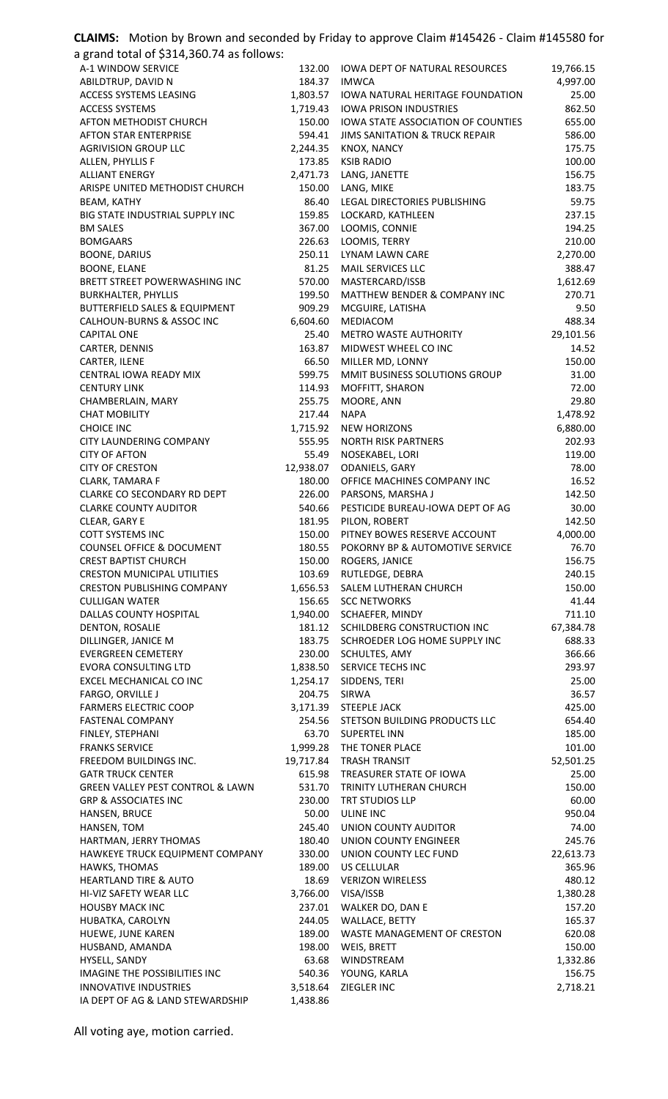| CLAIMS: Motion by Brown and seconded by Friday to approve Claim #145426 - Claim #145580 for |                      |                                                                          |                    |
|---------------------------------------------------------------------------------------------|----------------------|--------------------------------------------------------------------------|--------------------|
| a grand total of \$314,360.74 as follows:                                                   |                      |                                                                          |                    |
| A-1 WINDOW SERVICE                                                                          | 132.00               | <b>IOWA DEPT OF NATURAL RESOURCES</b>                                    | 19,766.15          |
| ABILDTRUP, DAVID N                                                                          | 184.37               | <b>IMWCA</b>                                                             | 4,997.00           |
| ACCESS SYSTEMS LEASING<br><b>ACCESS SYSTEMS</b>                                             | 1,803.57<br>1,719.43 | <b>IOWA NATURAL HERITAGE FOUNDATION</b><br><b>IOWA PRISON INDUSTRIES</b> | 25.00<br>862.50    |
| AFTON METHODIST CHURCH                                                                      | 150.00               | IOWA STATE ASSOCIATION OF COUNTIES                                       | 655.00             |
| <b>AFTON STAR ENTERPRISE</b>                                                                | 594.41               | <b>JIMS SANITATION &amp; TRUCK REPAIR</b>                                | 586.00             |
| <b>AGRIVISION GROUP LLC</b>                                                                 | 2,244.35             | KNOX, NANCY                                                              | 175.75             |
| ALLEN, PHYLLIS F                                                                            | 173.85               | <b>KSIB RADIO</b>                                                        | 100.00             |
| <b>ALLIANT ENERGY</b>                                                                       | 2,471.73             | LANG, JANETTE                                                            | 156.75             |
| ARISPE UNITED METHODIST CHURCH<br>BEAM, KATHY                                               | 150.00<br>86.40      | LANG, MIKE<br>LEGAL DIRECTORIES PUBLISHING                               | 183.75<br>59.75    |
| BIG STATE INDUSTRIAL SUPPLY INC                                                             | 159.85               | LOCKARD, KATHLEEN                                                        | 237.15             |
| <b>BM SALES</b>                                                                             | 367.00               | LOOMIS, CONNIE                                                           | 194.25             |
| <b>BOMGAARS</b>                                                                             | 226.63               | LOOMIS, TERRY                                                            | 210.00             |
| <b>BOONE, DARIUS</b>                                                                        | 250.11               | LYNAM LAWN CARE                                                          | 2,270.00           |
| <b>BOONE, ELANE</b>                                                                         | 81.25                | MAIL SERVICES LLC                                                        | 388.47             |
| BRETT STREET POWERWASHING INC<br><b>BURKHALTER, PHYLLIS</b>                                 | 570.00<br>199.50     | MASTERCARD/ISSB<br>MATTHEW BENDER & COMPANY INC                          | 1,612.69<br>270.71 |
| <b>BUTTERFIELD SALES &amp; EQUIPMENT</b>                                                    | 909.29               | MCGUIRE, LATISHA                                                         | 9.50               |
| CALHOUN-BURNS & ASSOC INC                                                                   | 6,604.60             | MEDIACOM                                                                 | 488.34             |
| <b>CAPITAL ONE</b>                                                                          | 25.40                | <b>METRO WASTE AUTHORITY</b>                                             | 29,101.56          |
| CARTER, DENNIS                                                                              | 163.87               | MIDWEST WHEEL CO INC                                                     | 14.52              |
| CARTER, ILENE                                                                               | 66.50                | MILLER MD, LONNY                                                         | 150.00             |
| CENTRAL IOWA READY MIX                                                                      | 599.75               | MMIT BUSINESS SOLUTIONS GROUP                                            | 31.00              |
| <b>CENTURY LINK</b><br>CHAMBERLAIN, MARY                                                    | 114.93<br>255.75     | MOFFITT, SHARON<br>MOORE, ANN                                            | 72.00<br>29.80     |
| <b>CHAT MOBILITY</b>                                                                        | 217.44               | <b>NAPA</b>                                                              | 1,478.92           |
| <b>CHOICE INC</b>                                                                           | 1,715.92             | <b>NEW HORIZONS</b>                                                      | 6,880.00           |
| CITY LAUNDERING COMPANY                                                                     | 555.95               | <b>NORTH RISK PARTNERS</b>                                               | 202.93             |
| <b>CITY OF AFTON</b>                                                                        | 55.49                | NOSEKABEL, LORI                                                          | 119.00             |
| <b>CITY OF CRESTON</b>                                                                      | 12,938.07            | ODANIELS, GARY                                                           | 78.00              |
| <b>CLARK, TAMARA F</b><br>CLARKE CO SECONDARY RD DEPT                                       | 180.00<br>226.00     | OFFICE MACHINES COMPANY INC<br>PARSONS, MARSHA J                         | 16.52<br>142.50    |
| <b>CLARKE COUNTY AUDITOR</b>                                                                | 540.66               | PESTICIDE BUREAU-IOWA DEPT OF AG                                         | 30.00              |
| CLEAR, GARY E                                                                               | 181.95               | PILON, ROBERT                                                            | 142.50             |
| <b>COTT SYSTEMS INC</b>                                                                     | 150.00               | PITNEY BOWES RESERVE ACCOUNT                                             | 4,000.00           |
| <b>COUNSEL OFFICE &amp; DOCUMENT</b>                                                        | 180.55               | POKORNY BP & AUTOMOTIVE SERVICE                                          | 76.70              |
| <b>CREST BAPTIST CHURCH</b>                                                                 | 150.00               | ROGERS, JANICE                                                           | 156.75             |
| <b>CRESTON MUNICIPAL UTILITIES</b><br><b>CRESTON PUBLISHING COMPANY</b>                     | 103.69<br>1,656.53   | RUTLEDGE, DEBRA<br>SALEM LUTHERAN CHURCH                                 | 240.15<br>150.00   |
| <b>CULLIGAN WATER</b>                                                                       | 156.65               | <b>SCC NETWORKS</b>                                                      | 41.44              |
| DALLAS COUNTY HOSPITAL                                                                      | 1,940.00             | SCHAEFER, MINDY                                                          | 711.10             |
| DENTON, ROSALIE                                                                             | 181.12               | SCHILDBERG CONSTRUCTION INC                                              | 67,384.78          |
| DILLINGER, JANICE M                                                                         | 183.75               | SCHROEDER LOG HOME SUPPLY INC                                            | 688.33             |
| <b>EVERGREEN CEMETERY</b>                                                                   | 230.00               | SCHULTES, AMY                                                            | 366.66             |
| <b>EVORA CONSULTING LTD</b><br>EXCEL MECHANICAL CO INC                                      | 1,838.50             | SERVICE TECHS INC                                                        | 293.97<br>25.00    |
| FARGO, ORVILLE J                                                                            | 1,254.17<br>204.75   | SIDDENS, TERI<br>SIRWA                                                   | 36.57              |
| <b>FARMERS ELECTRIC COOP</b>                                                                |                      | 3,171.39 STEEPLE JACK                                                    | 425.00             |
| <b>FASTENAL COMPANY</b>                                                                     |                      | 254.56 STETSON BUILDING PRODUCTS LLC                                     | 654.40             |
| FINLEY, STEPHANI                                                                            | 63.70                | <b>SUPERTEL INN</b>                                                      | 185.00             |
| <b>FRANKS SERVICE</b>                                                                       | 1,999.28             | THE TONER PLACE                                                          | 101.00             |
| FREEDOM BUILDINGS INC.                                                                      | 19,717.84            | <b>TRASH TRANSIT</b>                                                     | 52,501.25          |
| <b>GATR TRUCK CENTER</b><br><b>GREEN VALLEY PEST CONTROL &amp; LAWN</b>                     | 615.98<br>531.70     | TREASURER STATE OF IOWA<br>TRINITY LUTHERAN CHURCH                       | 25.00<br>150.00    |
| <b>GRP &amp; ASSOCIATES INC</b>                                                             | 230.00               | <b>TRT STUDIOS LLP</b>                                                   | 60.00              |
| HANSEN, BRUCE                                                                               | 50.00                | ULINE INC                                                                | 950.04             |
| HANSEN, TOM                                                                                 | 245.40               | UNION COUNTY AUDITOR                                                     | 74.00              |
| HARTMAN, JERRY THOMAS                                                                       | 180.40               | UNION COUNTY ENGINEER                                                    | 245.76             |
| HAWKEYE TRUCK EQUIPMENT COMPANY                                                             | 330.00               | UNION COUNTY LEC FUND                                                    | 22,613.73          |
| HAWKS, THOMAS<br><b>HEARTLAND TIRE &amp; AUTO</b>                                           | 189.00<br>18.69      | <b>US CELLULAR</b><br><b>VERIZON WIRELESS</b>                            | 365.96<br>480.12   |
| HI-VIZ SAFETY WEAR LLC                                                                      | 3,766.00             | VISA/ISSB                                                                | 1,380.28           |
| <b>HOUSBY MACK INC</b>                                                                      | 237.01               | WALKER DO, DAN E                                                         | 157.20             |
| HUBATKA, CAROLYN                                                                            | 244.05               | WALLACE, BETTY                                                           | 165.37             |
| HUEWE, JUNE KAREN                                                                           | 189.00               | WASTE MANAGEMENT OF CRESTON                                              | 620.08             |
| HUSBAND, AMANDA                                                                             | 198.00               | WEIS, BRETT                                                              | 150.00             |
| HYSELL, SANDY                                                                               | 63.68                | <b>WINDSTREAM</b>                                                        | 1,332.86           |
| IMAGINE THE POSSIBILITIES INC<br><b>INNOVATIVE INDUSTRIES</b>                               | 540.36<br>3,518.64   | YOUNG, KARLA<br>ZIEGLER INC                                              | 156.75<br>2,718.21 |
| IA DEPT OF AG & LAND STEWARDSHIP                                                            | 1,438.86             |                                                                          |                    |

All voting aye, motion carried.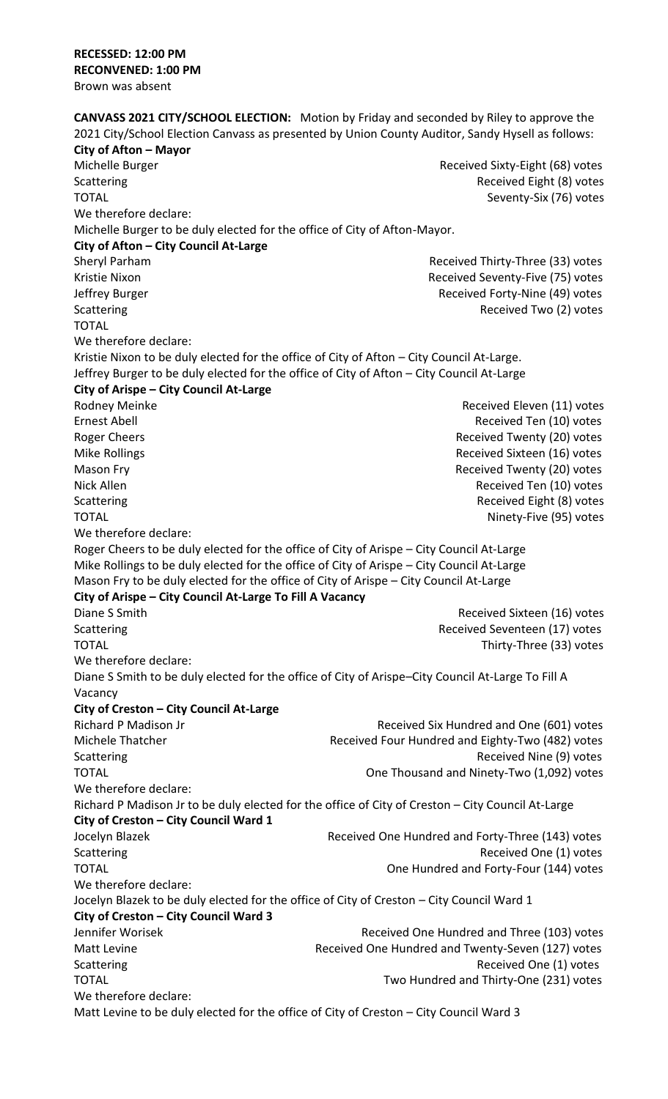**CANVASS 2021 CITY/SCHOOL ELECTION:** Motion by Friday and seconded by Riley to approve the 2021 City/School Election Canvass as presented by Union County Auditor, Sandy Hysell as follows: **City of Afton – Mayor**  Michelle Burger **Michelle Burger** Received Sixty-Eight (68) votes Scattering **Received Eight (8)** votes TOTAL Seventy-Six (76) votes We therefore declare: Michelle Burger to be duly elected for the office of City of Afton-Mayor. **City of Afton – City Council At-Large**  Sheryl Parham **Received Thirty-Three (33)** votes Kristie Nixon **Received Seventy-Five (75)** votes Jeffrey Burger **Manual Acceleration** Received Forty-Nine (49) votes Scattering **Scattering Received Two (2) votes Received Two (2) votes** TOTAL We therefore declare: Kristie Nixon to be duly elected for the office of City of Afton – City Council At-Large. Jeffrey Burger to be duly elected for the office of City of Afton – City Council At-Large **City of Arispe – City Council At-Large** Rodney Meinke **Received Eleven (11)** votes Ernest Abell **Exerceived Ten (10)** votes Roger Cheers **Roger Cheers Received Twenty (20)** votes Mike Rollings **Received Sixteen (16)** votes Mason Fry **Mason Fry 2018** Mason Fry **Received Twenty (20)** votes Nick Allen **Received Ten (10)** votes Scattering **Received Eight (8)** votes TOTAL **Ninety-Five (95)** votes We therefore declare: Roger Cheers to be duly elected for the office of City of Arispe – City Council At-Large Mike Rollings to be duly elected for the office of City of Arispe – City Council At-Large Mason Fry to be duly elected for the office of City of Arispe – City Council At-Large **City of Arispe – City Council At-Large To Fill A Vacancy**  Diane S Smith **Diane S Smith** Received Sixteen (16) votes Scattering **Received Seventeen (17)** votes TOTAL TOTAL TOTAL TOTAL THE SECOND THE SECOND VALUE OF THE SECOND VALUE OF THE SECOND VALUE OF THE SECOND VALUE OF THE SECOND VALUE OF THE SECOND VALUE OF THE SECOND VALUE OF THE SECOND VALUE OF THE SECOND VALUE OF THE SEC We therefore declare: Diane S Smith to be duly elected for the office of City of Arispe–City Council At-Large To Fill A Vacancy **City of Creston – City Council At-Large**  Richard P Madison Jr **Received Six Hundred and One (601)** votes Michele Thatcher **Received Four Hundred and Eighty-Two (482)** votes Scattering **Received Nine (9) votes** Scattering **Received Nine (9)** votes TOTAL **TOTAL TOTAL One Thousand and Ninety-Two (1,092)** votes We therefore declare: Richard P Madison Jr to be duly elected for the office of City of Creston – City Council At-Large **City of Creston – City Council Ward 1**  Jocelyn Blazek **Received One Hundred and Forty-Three (143)** votes Scattering **Received One (1)** votes **Scattering Received One (1)** votes TOTAL One Hundred and Forty-Four (144) votes We therefore declare: Jocelyn Blazek to be duly elected for the office of City of Creston – City Council Ward 1 **City of Creston – City Council Ward 3**  Jennifer Worisek Received One Hundred and Three (103) votes Matt Levine **Matt Levine Received One Hundred and Twenty-Seven (127) votes** Scattering **Received One (1)** votes TOTAL Two Hundred and Thirty-One (231) votes We therefore declare: Matt Levine to be duly elected for the office of City of Creston – City Council Ward 3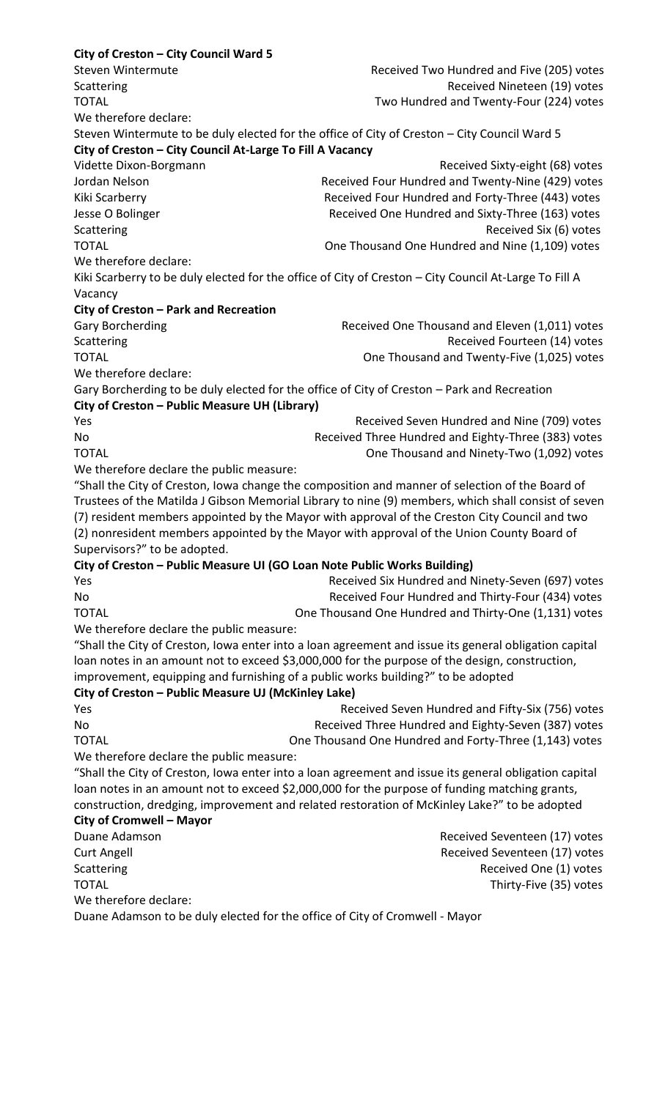**City of Creston – City Council Ward 5**  Steven Wintermute Received Two Hundred and Five (205) votes Scattering **Received Nineteen (19)** votes TOTAL Two Hundred and Twenty-Four (224) votes We therefore declare: Steven Wintermute to be duly elected for the office of City of Creston – City Council Ward 5 **City of Creston – City Council At-Large To Fill A Vacancy**  Vidette Dixon-Borgmann Received Sixty-eight (68) votes Jordan Nelson **Received Four Hundred and Twenty-Nine (429)** votes Kiki Scarberry **Received Four Hundred and Forty-Three (443)** votes Jesse O Bolinger **Received One Hundred and Sixty-Three (163)** votes Scattering **Received Six (6)** votes **Scattering**  $\alpha$ TOTAL **TOTAL CONSUME:** One Thousand One Hundred and Nine (1,109) votes We therefore declare: Kiki Scarberry to be duly elected for the office of City of Creston – City Council At-Large To Fill A Vacancy **City of Creston – Park and Recreation**  Gary Borcherding **Received One Thousand and Eleven (1,011)** votes Scattering **Scattering Received Fourteen (14)** votes TOTAL **TOTAL TOTAL ONE THE SAMPLE STATES AND THE SAMPLE STATES ASSESSED ASSOCIATES AND TOTAL ASSESSED ASSOCIATES AND TOTAL ASSESSED ASSOCIATES AND TOTAL ASSESSED ASSOCIATES AND TOTAL ASSESSED ASSOCIATES AND TOTAL ASSOC** We therefore declare: Gary Borcherding to be duly elected for the office of City of Creston – Park and Recreation **City of Creston – Public Measure UH (Library)** Yes **The Community Community Community** Received Seven Hundred and Nine (709) votes No Received Three Hundred and Eighty-Three (383) votes TOTAL **TOTAL TOTAL One Thousand and Ninety-Two (1,092)** votes We therefore declare the public measure: "Shall the City of Creston, Iowa change the composition and manner of selection of the Board of Trustees of the Matilda J Gibson Memorial Library to nine (9) members, which shall consist of seven (7) resident members appointed by the Mayor with approval of the Creston City Council and two (2) nonresident members appointed by the Mayor with approval of the Union County Board of Supervisors?" to be adopted. **City of Creston – Public Measure UI (GO Loan Note Public Works Building)** Yes **Received Six Hundred and Ninety-Seven (697) votes** Received Six Hundred and Ninety-Seven (697) votes No Received Four Hundred and Thirty-Four (434) votes TOTAL **TOTAL CONEY TOTAL** One Thousand One Hundred and Thirty-One (1,131) votes We therefore declare the public measure: "Shall the City of Creston, Iowa enter into a loan agreement and issue its general obligation capital loan notes in an amount not to exceed \$3,000,000 for the purpose of the design, construction, improvement, equipping and furnishing of a public works building?" to be adopted **City of Creston – Public Measure UJ (McKinley Lake)**  Yes **Received Seven Hundred and Fifty-Six (756)** votes No Received Three Hundred and Eighty-Seven (387) votes TOTAL **TOTAL CONEY THE SAME STARKED STARKED META** One Thousand One Hundred and Forty-Three (1,143) votes We therefore declare the public measure: "Shall the City of Creston, Iowa enter into a loan agreement and issue its general obligation capital loan notes in an amount not to exceed \$2,000,000 for the purpose of funding matching grants, construction, dredging, improvement and related restoration of McKinley Lake?" to be adopted **City of Cromwell – Mayor**  Duane Adamson **Duane Adamson Received Seventeen (17)** votes Curt Angell Received Seventeen (17) votes Scattering **Received One (1)** votes **Scattering Received One (1)** votes TOTAL Thirty-Five (35) votes We therefore declare: Duane Adamson to be duly elected for the office of City of Cromwell - Mayor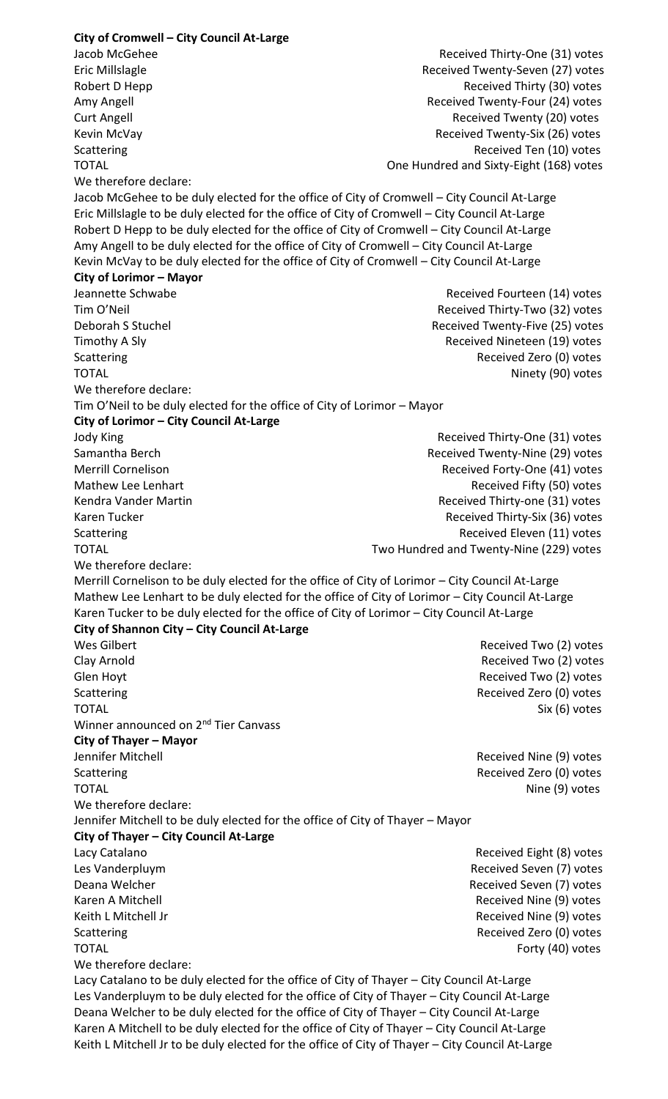**City of Cromwell – City Council At-Large**  Jacob McGehee Received Thirty-One (31) votes Eric Millslagle Received Twenty-Seven (27) votes Robert D Hepp **Received Thirty (30)** votes Amy Angell **Amy Angell** Received Twenty-Four (24) votes Curt Angell **Curt Angell** Received Twenty (20) votes Kevin McVay **Received Twenty-Six (26)** votes Scattering **Received Ten (10)** votes TOTAL One Hundred and Sixty-Eight (168) votes We therefore declare: Jacob McGehee to be duly elected for the office of City of Cromwell – City Council At-Large Eric Millslagle to be duly elected for the office of City of Cromwell – City Council At-Large Robert D Hepp to be duly elected for the office of City of Cromwell – City Council At-Large Amy Angell to be duly elected for the office of City of Cromwell – City Council At-Large Kevin McVay to be duly elected for the office of City of Cromwell – City Council At-Large **City of Lorimor – Mayor**  Jeannette Schwabe **Received Fourteen (14)** votes Tim O'Neil **The Contract Contract Contract Contract Contract Contract Contract Contract Contract Contract Contract Contract Contract Received Thirty-Two (32) votes** Deborah S Stuchel **Deborah S Stuchel** Received Twenty-Five (25) votes Timothy A Sly **Received Nineteen** (19) votes Scattering **Received Zero (0)** votes TOTAL Ninety (90) votes We therefore declare: Tim O'Neil to be duly elected for the office of City of Lorimor – Mayor **City of Lorimor – City Council At-Large**  Jody King Received Thirty-One (31) votes Samantha Berch **Received Twenty-Nine (29)** votes Merrill Cornelison **Merrill Cornelison** Received Forty-One (41) votes Mathew Lee Lenhart **Mathew Lee Lenhart** Received Fifty (50) votes Kendra Vander Martin **Received Thirty-one (31)** votes Karen Tucker Received Thirty-Six (36) votes Scattering **Received Eleven (11)** votes TOTAL Two Hundred and Twenty-Nine (229) votes We therefore declare: Merrill Cornelison to be duly elected for the office of City of Lorimor – City Council At-Large Mathew Lee Lenhart to be duly elected for the office of City of Lorimor – City Council At-Large Karen Tucker to be duly elected for the office of City of Lorimor – City Council At-Large **City of Shannon City – City Council At-Large**  Wes Gilbert **Network Community** Contract Community Community Received Two (2) votes Clay Arnold Received Two (2) votes Glen Hoyt **Glen Hoyt** Received Two (2) votes Scattering **Received Zero (0)** votes TOTAL Six (6) votes Winner announced on 2<sup>nd</sup> Tier Canvass **City of Thayer – Mayor**  Jennifer Mitchell Received Nine (9) votes Scattering **Received Zero (0)** votes TOTAL Nine (9) votes We therefore declare: Jennifer Mitchell to be duly elected for the office of City of Thayer – Mayor **City of Thayer – City Council At-Large** Lacy Catalano **Received Eight (8)** votes Les Vanderpluym Received Seven (7) votes Deana Welcher **Network and Seven (7)** votes Karen A Mitchell **Received Nine (9)** votes Keith L Mitchell Jr **Received Nine (9)** votes Scattering **Received Zero (0)** votes TOTAL Forty (40) votes We therefore declare: Lacy Catalano to be duly elected for the office of City of Thayer – City Council At-Large Les Vanderpluym to be duly elected for the office of City of Thayer – City Council At-Large Deana Welcher to be duly elected for the office of City of Thayer – City Council At-Large Karen A Mitchell to be duly elected for the office of City of Thayer – City Council At-Large Keith L Mitchell Jr to be duly elected for the office of City of Thayer – City Council At-Large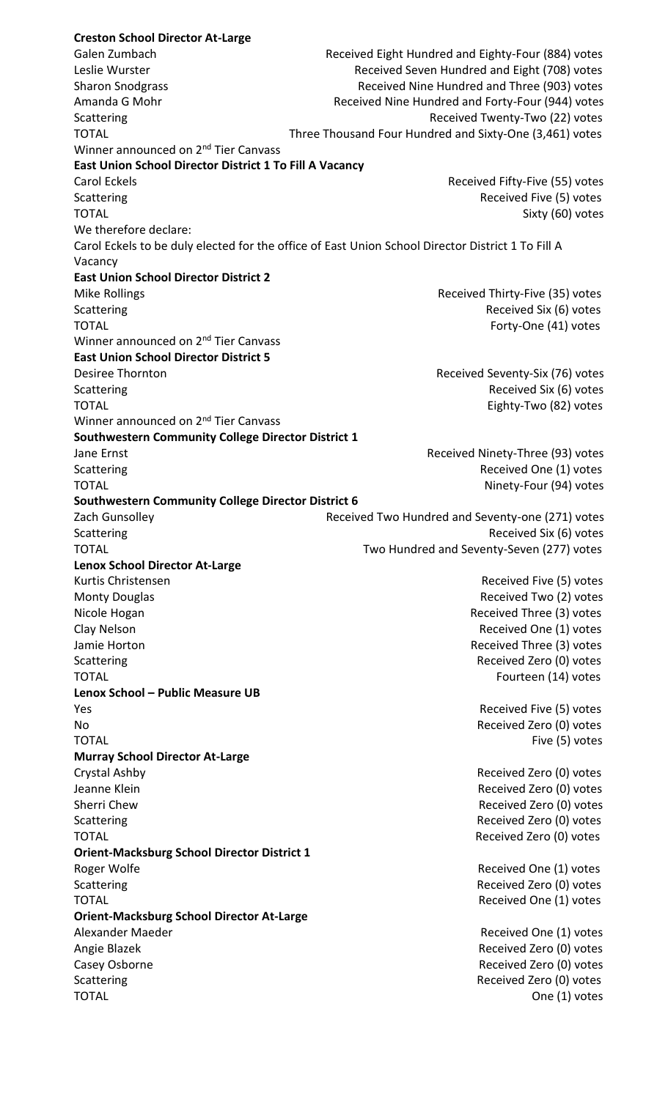**Creston School Director At-Large**  Galen Zumbach **Received Eight Hundred and Eighty-Four (884)** votes Leslie Wurster **Received Seven Hundred and Eight (708) votes** Received Seven Hundred and Eight (708) votes Sharon Snodgrass **Received Nine Hundred and Three (903) votes** Received Nine Hundred and Three (903) votes Amanda G Mohr **Received Nine Hundred and Forty-Four (944)** votes Scattering **Scattering Received Twenty-Two (22) votes** TOTAL TOTAL TOTAL THEE Thousand Four Hundred and Sixty-One (3,461) votes Winner announced on 2<sup>nd</sup> Tier Canvass **East Union School Director District 1 To Fill A Vacancy**  Carol Eckels Received Fifty-Five (55) votes Scattering **Scattering Received Five (5)** votes TOTAL Sixty (60) votes We therefore declare: Carol Eckels to be duly elected for the office of East Union School Director District 1 To Fill A Vacancy **East Union School Director District 2**  Mike Rollings **Received Thirty-Five (35)** votes Scattering **Received Six (6)** votes TOTAL Forty-One (41) votes Winner announced on 2<sup>nd</sup> Tier Canvass **East Union School Director District 5**  Desiree Thornton **Desiree Thornton** Received Seventy-Six (76) votes Scattering **Received Six (6)** votes TOTAL Eighty-Two (82) votes Winner announced on 2<sup>nd</sup> Tier Canvass **Southwestern Community College Director District 1**  Jane Ernst **All Acceleration Controller Controller Received Ninety-Three (93) votes** Scattering **Scattering Received One (1)** votes TOTAL Ninety-Four (94) votes **Southwestern Community College Director District 6**  Zach Gunsolley Received Two Hundred and Seventy-one (271) votes Scattering **Received Six (6)** votes TOTAL Two Hundred and Seventy-Seven (277) votes **Lenox School Director At-Large**  Kurtis Christensen **Received Five (5)** votes Monty Douglas **Received Two (2) votes** Received Two (2) votes Nicole Hogan **Received Three (3)** votes Clay Nelson Received One (1) votes Jamie Horton **Acceleration Community** Contract Community Community Received Three (3) votes Scattering **Received Zero (0)** votes TOTAL Fourteen (14) votes **Lenox School – Public Measure UB**  Yes **Received Five (5)** votes **Proposed** Five (5) votes **Received Five (5)** votes No Received Zero (0) votes TOTAL Five (5) votes **Murray School Director At-Large**  Crystal Ashby **Crystal Ashby Received Zero (0)** votes Jeanne Klein **Received Zero (0)** votes Sherri Chew **Received Zero (0)** votes Scattering **Received Zero (0)** votes TOTAL Received Zero (0) votes **Orient-Macksburg School Director District 1**  Roger Wolfe **Received One (1)** votes **Received One (1)** votes Scattering **Scattering Received Zero (0)** votes TOTAL Received One (1) votes **Orient-Macksburg School Director At-Large**  Alexander Maeder Received One (1) votes Angie Blazek **Angie Blazek** Received Zero (0) votes Casey Osborne **Received Zero (0)** votes Scattering **Received Zero (0)** votes TOTAL One (1) votes